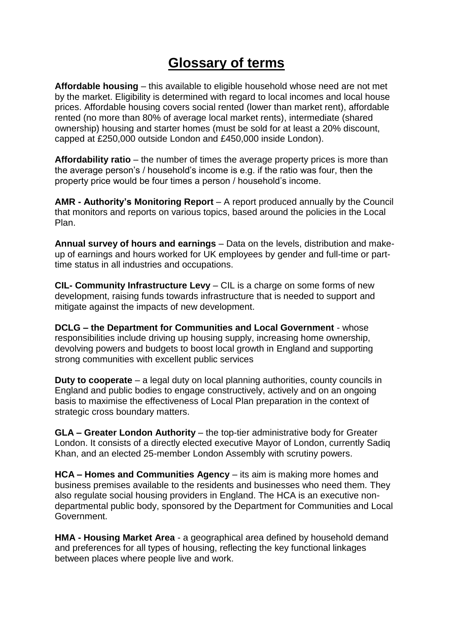## **Glossary of terms**

**Affordable housing** – this available to eligible household whose need are not met by the market. Eligibility is determined with regard to local incomes and local house prices. Affordable housing covers social rented (lower than market rent), affordable rented (no more than 80% of average local market rents), intermediate (shared ownership) housing and starter homes (must be sold for at least a 20% discount, capped at £250,000 outside London and £450,000 inside London).

**Affordability ratio** – the number of times the average property prices is more than the average person's / household's income is e.g. if the ratio was four, then the property price would be four times a person / household's income.

**AMR - Authority's Monitoring Report** – A report produced annually by the Council that monitors and reports on various topics, based around the policies in the Local Plan.

**Annual survey of hours and earnings** – Data on the levels, distribution and makeup of earnings and hours worked for UK employees by gender and full-time or parttime status in all industries and occupations.

**CIL- Community Infrastructure Levy** – CIL is a charge on some forms of new development, raising funds towards infrastructure that is needed to support and mitigate against the impacts of new development.

**DCLG – the Department for Communities and Local Government** - whose responsibilities include driving up housing supply, increasing home ownership, devolving powers and budgets to boost local growth in England and supporting strong communities with excellent public services

**Duty to cooperate** – a legal duty on local planning authorities, county councils in England and public bodies to engage constructively, actively and on an ongoing basis to maximise the effectiveness of Local Plan preparation in the context of strategic cross boundary matters.

**GLA – Greater London Authority** – the top-tier administrative body for [Greater](https://en.wikipedia.org/wiki/Greater_London)  [London.](https://en.wikipedia.org/wiki/Greater_London) It consists of a directly elected executive [Mayor of London,](https://en.wikipedia.org/wiki/Mayor_of_London) currently Sadiq Khan, and an elected 25-member [London Assembly](https://en.wikipedia.org/wiki/London_Assembly) with scrutiny powers.

**HCA – Homes and Communities Agency** – its aim is making more homes and business premises available to the residents and businesses who need them. They also regulate social housing providers in England. The HCA is an executive nondepartmental public body, sponsored by the Department for Communities and Local Government.

**HMA - Housing Market Area** - a geographical area defined by household demand and preferences for all types of housing, reflecting the key functional linkages between places where people live and work.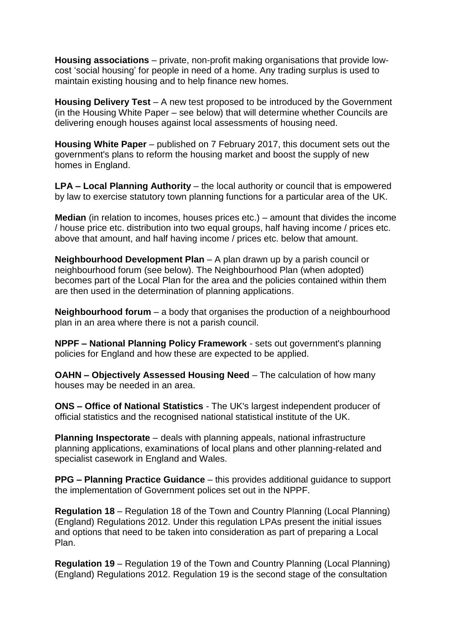**Housing associations** – private, non-profit making organisations that provide lowcost 'social housing' for people in need of a home. Any trading surplus is used to maintain existing housing and to help finance new homes.

**Housing Delivery Test** – A new test proposed to be introduced by the Government (in the Housing White Paper – see below) that will determine whether Councils are delivering enough houses against local assessments of housing need.

**Housing White Paper** – published on 7 February 2017, this document sets out the government's plans to reform the housing market and boost the supply of new homes in England.

**LPA – Local Planning Authority** – the local authority or council that is empowered by law to exercise statutory town planning functions for a particular area of the UK.

**Median** (in relation to incomes, houses prices etc.) – amount that divides the income / house price etc. distribution into two equal groups, half having income / prices etc. above that amount, and half having income / prices etc. below that amount.

**Neighbourhood Development Plan** – A plan drawn up by a parish council or neighbourhood forum (see below). The Neighbourhood Plan (when adopted) becomes part of the Local Plan for the area and the policies contained within them are then used in the determination of planning applications.

**Neighbourhood forum** – a body that organises the production of a neighbourhood plan in an area where there is not a parish council.

**NPPF – National Planning Policy Framework** - sets out government's planning policies for England and how these are expected to be applied.

**OAHN – Objectively Assessed Housing Need** – The calculation of how many houses may be needed in an area.

**ONS – Office of National Statistics** - The UK's largest independent producer of official statistics and the recognised national statistical institute of the UK.

**Planning Inspectorate** – deals with planning appeals, national infrastructure planning applications, examinations of local plans and other planning-related and specialist casework in England and Wales.

**PPG – Planning Practice Guidance** – this provides additional guidance to support the implementation of Government polices set out in the NPPF.

**Regulation 18** – Regulation 18 of the Town and Country Planning (Local Planning) (England) Regulations 2012. Under this regulation LPAs present the initial issues and options that need to be taken into consideration as part of preparing a Local Plan.

**Regulation 19** – Regulation 19 of the Town and Country Planning (Local Planning) (England) Regulations 2012. Regulation 19 is the second stage of the consultation